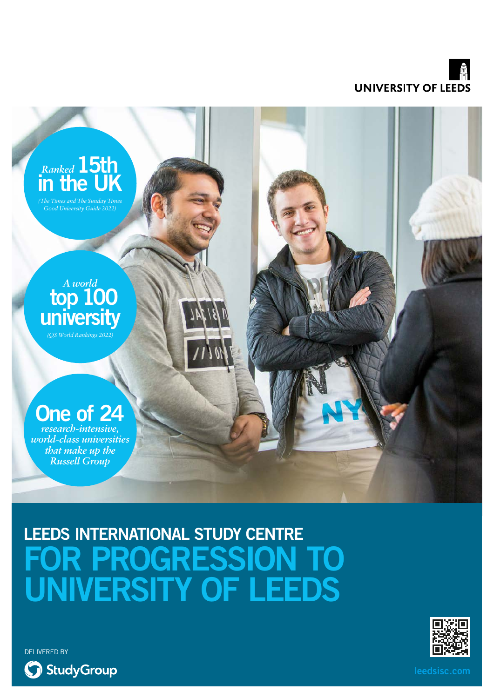



## **LEEDS INTERNATIONAL STUDY CENTRE OR PROGRESSION TO UNIVERSITY OF LEEDS**



DELIVERED BY

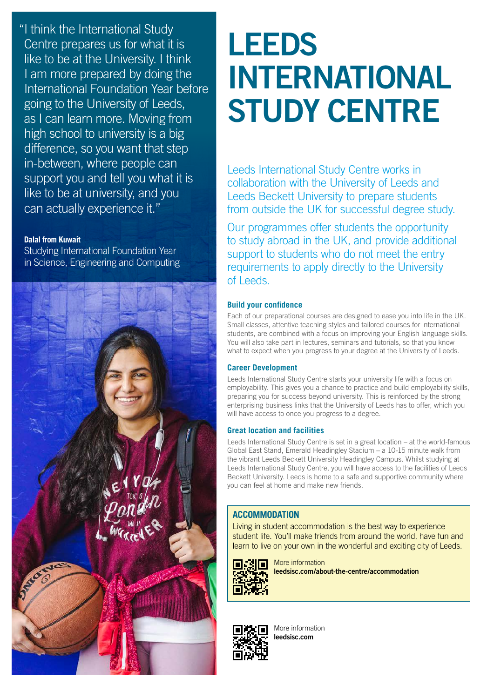"I think the International Study Centre prepares us for what it is like to be at the University. I think I am more prepared by doing the International Foundation Year before going to the University of Leeds, as I can learn more. Moving from high school to university is a big difference, so you want that step in-between, where people can support you and tell you what it is like to be at university, and you can actually experience it."

## **Dalal from Kuwait**

Studying International Foundation Year in Science, Engineering and Computing



# **LEEDS INTERNATIONAL STUDY CENTRE**

Leeds International Study Centre works in collaboration with the University of Leeds and Leeds Beckett University to prepare students from outside the UK for successful degree study.

Our programmes offer students the opportunity to study abroad in the UK, and provide additional support to students who do not meet the entry requirements to apply directly to the University of Leeds.

## **Build your confidence**

Each of our preparational courses are designed to ease you into life in the UK. Small classes, attentive teaching styles and tailored courses for international students, are combined with a focus on improving your English language skills. You will also take part in lectures, seminars and tutorials, so that you know what to expect when you progress to your degree at the University of Leeds.

#### **Career Development**

Leeds International Study Centre starts your university life with a focus on employability. This gives you a chance to practice and build employability skills, preparing you for success beyond university. This is reinforced by the strong enterprising business links that the University of Leeds has to offer, which you will have access to once you progress to a degree.

#### **Great location and facilities**

Leeds International Study Centre is set in a great location – at the world-famous Global East Stand, Emerald Headingley Stadium – a 10-15 minute walk from the vibrant Leeds Beckett University Headingley Campus. Whilst studying at Leeds International Study Centre, you will have access to the facilities of Leeds Beckett University. Leeds is home to a safe and supportive community where you can feel at home and make new friends.

### **ACCOMMODATION**

Living in student accommodation is the best way to experience student life. You'll make friends from around the world, have fun and learn to live on your own in the wonderful and exciting city of Leeds.



More information **[leedsisc.com/about-the-centre/accommodation](http://leedsisc.com/about-the-centre/accommodation)**



More information **[leedsisc.com](http://leedsisc.com)**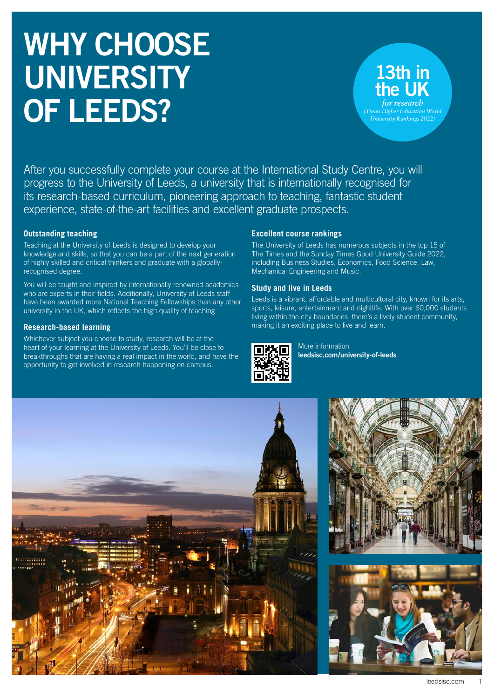# **WHY CHOOSE UNIVERSITY OF LEEDS?**

## **13th in the UK** *for researc (Times Higher Education World University Rankings 2022)*

After you successfully complete your course at the International Study Centre, you will progress to the University of Leeds, a university that is internationally recognised for its research-based curriculum, pioneering approach to teaching, fantastic student experience, state-of-the-art facilities and excellent graduate prospects.

## **Outstanding teaching**

Teaching at the University of Leeds is designed to develop your knowledge and skills, so that you can be a part of the next generation of highly skilled and critical thinkers and graduate with a globallyrecognised degree.

You will be taught and inspired by internationally renowned academics who are experts in their fields. Additionally, University of Leeds staff have been awarded more National Teaching Fellowships than any other university in the UK, which reflects the high quality of teaching.

## **Research-based learning**

Whichever subject you choose to study, research will be at the heart of your learning at the University of Leeds. You'll be close to breakthroughs that are having a real impact in the world, and have the opportunity to get involved in research happening on campus.

## **Excellent course rankings**

The University of Leeds has numerous subjects in the top 15 of The Times and the Sunday Times Good University Guide 2022, including Business Studies, Economics, Food Science, Law, Mechanical Engineering and Music.

## **Study and live in Leeds**

Leeds is a vibrant, affordable and multicultural city, known for its arts, sports, leisure, entertainment and nightlife. With over 60,000 students living within the city boundaries, there's a lively student community, making it an exciting place to live and learn.



More information **[leedsisc.com/university-of-leeds](http://leedsisc.com/university-of-leeds)**



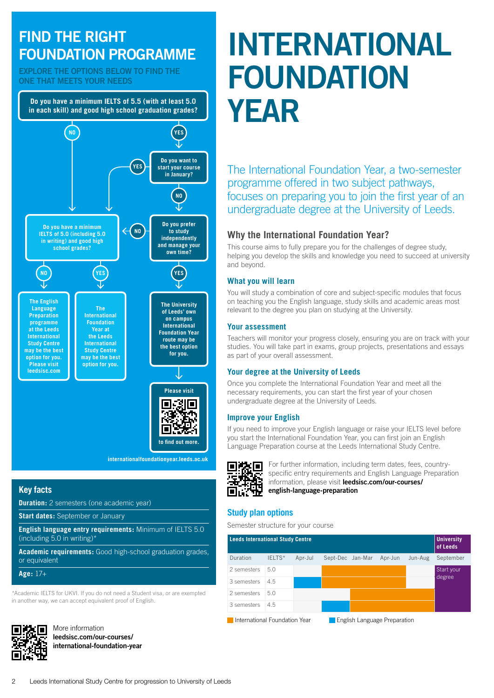## **FIND THE RIGHT FOUNDATION PROGRAMME**

**EXPLORE THE OPTIONS BELOW TO FIND THE ONE THAT MEETS YOUR NEEDS**

**Do you have a minimum IELTS of 5.5 (with at least 5.0 in each skill) and good high school graduation grades?**



**[internationalfoundationyear.leeds.ac.uk](http://internationalfoundationyear.leeds.ac.uk)**

## **Key facts**

**Duration:** 2 semesters (one academic year)

**Start dates:** September or January

**English language entry requirements:** Minimum of IELTS 5.0 (including 5.0 in writing)\*

**Academic requirements:** Good high-school graduation grades, or equivalent

**Age:** 17+

\*Academic IELTS for UKVI. If you do not need a Student visa, or are exempted in another way, we can accept equivalent proof of English.



More information **[leedsisc.com/our-courses/](http://leedsisc.com/our-courses/international-foundation-year) [international-foundation-year](http://leedsisc.com/our-courses/international-foundation-year)**

# **INTERNATIONAL FOUNDATION YEAR**

The International Foundation Year, a two-semester programme offered in two subject pathways, focuses on preparing you to join the first year of an undergraduate degree at the University of Leeds.

## **Why the International Foundation Year?**

This course aims to fully prepare you for the challenges of degree study, helping you develop the skills and knowledge you need to succeed at university and beyond.

## **What you will learn**

You will study a combination of core and subject-specific modules that focus on teaching you the English language, study skills and academic areas most relevant to the degree you plan on studying at the University.

## **Your assessment**

Teachers will monitor your progress closely, ensuring you are on track with your studies. You will take part in exams, group projects, presentations and essays as part of your overall assessment.

## **Your degree at the University of Leeds**

Once you complete the International Foundation Year and meet all the necessary requirements, you can start the first year of your chosen undergraduate degree at the University of Leeds.

## **Improve your English**

If you need to improve your English language or raise your IELTS level before you start the International Foundation Year, you can first join an English Language Preparation course at the Leeds International Study Centre.



For further information, including term dates, fees, countryspecific entry requirements and English Language Preparation information, please visit **[leedsisc.com/our-courses/](https://www.leedsisc.com/our-courses/english-language-preparation) english-language-preparation**

## **Study plan options**

Semester structure for your course

| <b>Leeds International Study Centre</b> |        |         |                  |         |         | <b>University</b><br>of Leeds |
|-----------------------------------------|--------|---------|------------------|---------|---------|-------------------------------|
| Duration                                | IELTS* | Apr-Jul | Sept-Dec Jan-Mar | Apr-Jun | Jun-Aug | September                     |
| 2 semesters                             | 5.0    |         |                  |         |         | Start your                    |
| 3 semesters                             | 4.5    |         |                  |         |         | degree                        |
| 2 semesters                             | 5.0    |         |                  |         |         |                               |
| 3 semesters                             | 4.5    |         |                  |         |         |                               |

**International Foundation Year English Language Preparation**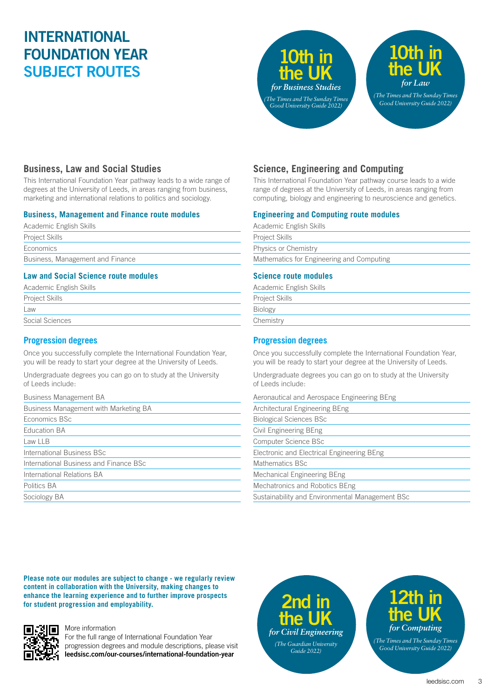## **INTERNATIONAL FOUNDATION YEAR SUBJECT ROUTES**



## **Business, Law and Social Studies**

This International Foundation Year pathway leads to a wide range of degrees at the University of Leeds, in areas ranging from business, marketing and international relations to politics and sociology.

## **Business, Management and Finance route modules**

| Academic English Skills          |
|----------------------------------|
| <b>Project Skills</b>            |
| Economics                        |
| Business, Management and Finance |
|                                  |

## **Law and Social Science route modules**

| Academic English Skills |  |
|-------------------------|--|
| Project Skills          |  |
| Law                     |  |
| Social Sciences         |  |
|                         |  |

## **Progression degrees**

Once you successfully complete the International Foundation Year, you will be ready to start your degree at the University of Leeds.

Undergraduate degrees you can go on to study at the University of Leeds include:

| <b>Business Management BA</b>          |
|----------------------------------------|
| Business Management with Marketing BA  |
| Economics BSc                          |
| Education BA                           |
| Law LLB                                |
| International Business BSc             |
| International Business and Finance BSc |
| International Relations BA             |
| Politics BA                            |
| Sociology BA                           |
|                                        |

## **Science, Engineering and Computing**

This International Foundation Year pathway course leads to a wide range of degrees at the University of Leeds, in areas ranging from computing, biology and engineering to neuroscience and genetics.

## **Engineering and Computing route modules**

| Academic English Skills                   |
|-------------------------------------------|
| Project Skills                            |
| Physics or Chemistry                      |
| Mathematics for Engineering and Computing |
|                                           |

## **Science route modules**

Academic English Skills Project Skills

Biology

**Chemistry** 

## **Progression degrees**

Once you successfully complete the International Foundation Year, you will be ready to start your degree at the University of Leeds.

Undergraduate degrees you can go on to study at the University of Leeds include:

Aeronautical and Aerospace Engineering BEng

| Architectural Engineering BEng                  |  |
|-------------------------------------------------|--|
| <b>Biological Sciences BSc</b>                  |  |
| Civil Engineering BEng                          |  |
| Computer Science BSc                            |  |
| Electronic and Electrical Engineering BEng      |  |
| Mathematics BSc                                 |  |
| Mechanical Engineering BEng                     |  |
| Mechatronics and Robotics BEng                  |  |
| Sustainability and Environmental Management BSc |  |

**Please note our modules are subject to change - we regularly review content in collaboration with the University, making changes to enhance the learning experience and to further improve prospects for student progression and employability.**



#### More information

For the full range of International Foundation Year progression degrees and module descriptions, please visit **[leedsisc.com/our-courses/international-foundation-year](http://leedsisc.com/our-courses/international-foundation-year)**

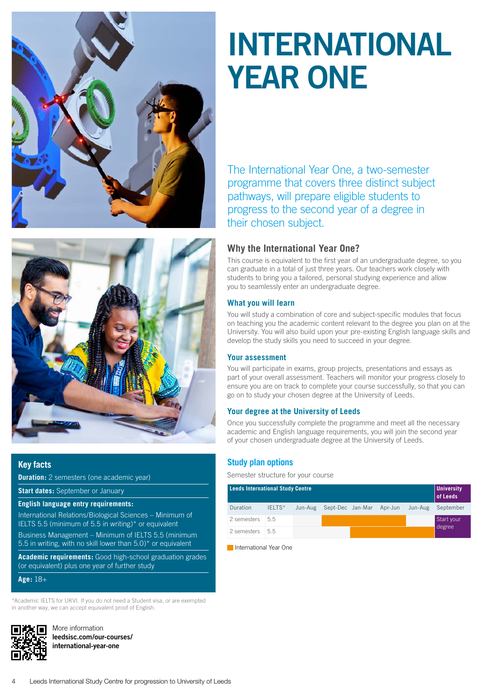



## **Key facts**

**Duration:** 2 semesters (one academic year)

**Start dates:** September or January

#### **English language entry requirements:**

International Relations/Biological Sciences – Minimum of IELTS 5.5 (minimum of 5.5 in writing)\* or equivalent Business Management – Minimum of IELTS 5.5 (minimum 5.5 in writing, with no skill lower than 5.0)\* or equivalent

**Academic requirements:** Good high-school graduation grades (or equivalent) plus one year of further study

**Age:** 18+

\*Academic IELTS for UKVI. If you do not need a Student visa, or are exempted in another way, we can accept equivalent proof of English.



More information **[leedsisc.com/our-courses/](http://leedsisc.com/our-courses/international-year-one) [international-year-one](http://leedsisc.com/our-courses/international-year-one)**

# **INTERNATIONAL YEAR ONE**

The International Year One, a two-semester programme that covers three distinct subject pathways, will prepare eligible students to progress to the second year of a degree in their chosen subject.

## **Why the International Year One?**

This course is equivalent to the first year of an undergraduate degree, so you can graduate in a total of just three years. Our teachers work closely with students to bring you a tailored, personal studying experience and allow you to seamlessly enter an undergraduate degree.

#### **What you will learn**

You will study a combination of core and subject-specific modules that focus on teaching you the academic content relevant to the degree you plan on at the University. You will also build upon your pre-existing English language skills and develop the study skills you need to succeed in your degree.

#### **Your assessment**

You will participate in exams, group projects, presentations and essays as part of your overall assessment. Teachers will monitor your progress closely to ensure you are on track to complete your course successfully, so that you can go on to study your chosen degree at the University of Leeds.

#### **Your degree at the University of Leeds**

Once you successfully complete the programme and meet all the necessary academic and English language requirements, you will join the second year of your chosen undergraduate degree at the University of Leeds.

#### **Study plan options**

Semester structure for your course

| <b>Leeds International Study Centre</b> |        |         |                  |  | <b>University</b><br>of Leeds |         |                      |
|-----------------------------------------|--------|---------|------------------|--|-------------------------------|---------|----------------------|
| Duration                                | IELTS* | Jun-Aug | Sept-Dec Jan-Mar |  | Apr-Jun                       | Jun-Aug | September            |
| 2 semesters                             | 5.5    |         |                  |  |                               |         | Start your<br>degree |
| 2 semesters                             | 55     |         |                  |  |                               |         |                      |

**International Year One**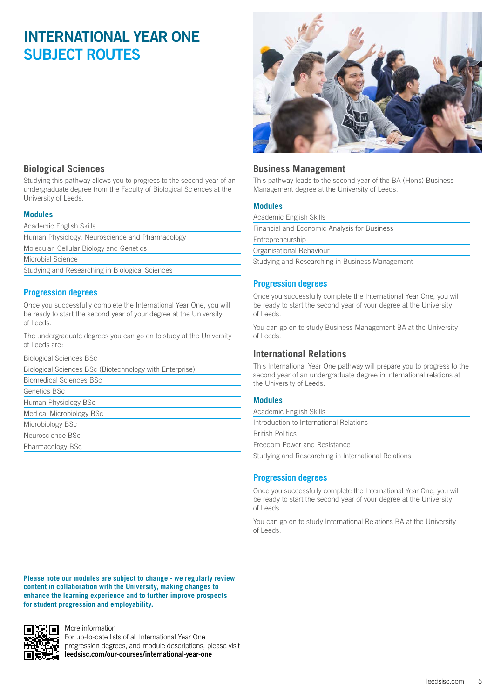## **INTERNATIONAL YEAR ONE SUBJECT ROUTES**



## **Business Management**

This pathway leads to the second year of the BA (Hons) Business Management degree at the University of Leeds.

## **Modules**

| Academic English Skills                         |
|-------------------------------------------------|
| Financial and Economic Analysis for Business    |
| Entrepreneurship                                |
| Organisational Behaviour                        |
| Studying and Researching in Business Management |

#### **Progression degrees**

Once you successfully complete the International Year One, you will be ready to start the second year of your degree at the University of Leeds.

You can go on to study Business Management BA at the University of Leeds.

## **International Relations**

This International Year One pathway will prepare you to progress to the second year of an undergraduate degree in international relations at the University of Leeds.

#### **Modules**

Academic English Skills

| Introduction to International Relations |  |  |
|-----------------------------------------|--|--|
|-----------------------------------------|--|--|

British Politics

Freedom Power and Resistance

Studying and Researching in International Relations

## **Progression degrees**

Once you successfully complete the International Year One, you will be ready to start the second year of your degree at the University of Leeds.

You can go on to study International Relations BA at the University of Leeds.

## **Biological Sciences**

Studying this pathway allows you to progress to the second year of an undergraduate degree from the Faculty of Biological Sciences at the University of Leeds.

## **Modules**

Academic English Skills

Human Physiology, Neuroscience and Pharmacology

Molecular, Cellular Biology and Genetics

Microbial Science

Studying and Researching in Biological Sciences

## **Progression degrees**

Once you successfully complete the International Year One, you will be ready to start the second year of your degree at the University of Leeds.

The undergraduate degrees you can go on to study at the University of Leeds are:

Biological Sciences BSc

Biological Sciences BSc (Biotechnology with Enterprise)

Biomedical Sciences BSc

Genetics BSc

Human Physiology BSc Medical Microbiology BSc

Microbiology BSc

Neuroscience BSc

Pharmacology BSc

**Please note our modules are subject to change - we regularly review content in collaboration with the University, making changes to enhance the learning experience and to further improve prospects for student progression and employability.**



More information

For up-to-date lists of all International Year One progression degrees, and module descriptions, please visit **[leedsisc.com/our-courses/international-year-one](http://leedsisc.com/our-courses/international-year-one)**